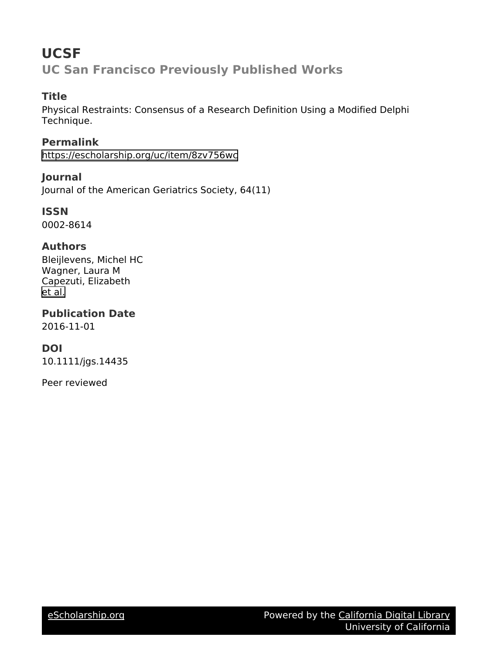# **UCSF UC San Francisco Previously Published Works**

# **Title**

Physical Restraints: Consensus of a Research Definition Using a Modified Delphi Technique.

**Permalink** <https://escholarship.org/uc/item/8zv756wc>

**Journal** Journal of the American Geriatrics Society, 64(11)

**ISSN** 0002-8614

# **Authors**

Bleijlevens, Michel HC Wagner, Laura M Capezuti, Elizabeth [et al.](https://escholarship.org/uc/item/8zv756wc#author)

**Publication Date**

2016-11-01

# **DOI**

10.1111/jgs.14435

Peer reviewed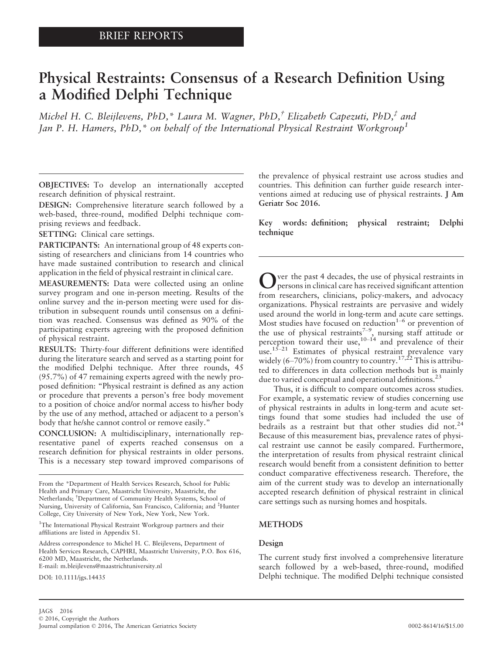# Physical Restraints: Consensus of a Research Definition Using a Modified Delphi Technique

Michel H. C. Bleijlevens, PhD,\* Laura M. Wagner, PhD, $\dot{f}$  Elizabeth Capezuti, PhD, $\dot{f}$  and Jan P. H. Hamers, PhD,<sup>\*</sup> on behalf of the International Physical Restraint Workgroup<sup>1</sup>

OBJECTIVES: To develop an internationally accepted research definition of physical restraint.

DESIGN: Comprehensive literature search followed by a web-based, three-round, modified Delphi technique comprising reviews and feedback.

SETTING: Clinical care settings.

PARTICIPANTS: An international group of 48 experts consisting of researchers and clinicians from 14 countries who have made sustained contribution to research and clinical application in the field of physical restraint in clinical care.

MEASUREMENTS: Data were collected using an online survey program and one in-person meeting. Results of the online survey and the in-person meeting were used for distribution in subsequent rounds until consensus on a definition was reached. Consensus was defined as 90% of the participating experts agreeing with the proposed definition of physical restraint.

RESULTS: Thirty-four different definitions were identified during the literature search and served as a starting point for the modified Delphi technique. After three rounds, 45 (95.7%) of 47 remaining experts agreed with the newly proposed definition: "Physical restraint is defined as any action or procedure that prevents a person's free body movement to a position of choice and/or normal access to his/her body by the use of any method, attached or adjacent to a person's body that he/she cannot control or remove easily."

CONCLUSION: A multidisciplinary, internationally representative panel of experts reached consensus on a research definition for physical restraints in older persons. This is a necessary step toward improved comparisons of

<sup>1</sup>The International Physical Restraint Workgroup partners and their affiliations are listed in Appendix S1.

Address correspondence to Michel H. C. Bleijlevens, Department of Health Services Research, CAPHRI, Maastricht University, P.O. Box 616, 6200 MD, Maastricht, the Netherlands. E-mail: m.bleijlevens@maastrichtuniversity.nl

DOI: 10.1111/jgs.14435

the prevalence of physical restraint use across studies and countries. This definition can further guide research interventions aimed at reducing use of physical restraints. J Am Geriatr Soc 2016.

Key words: definition; physical restraint; Delphi technique

Over the past 4 decades, the use of physical restraints in persons in clinical care has received significant attention from researchers, clinicians, policy-makers, and advocacy organizations. Physical restraints are pervasive and widely used around the world in long-term and acute care settings. Most studies have focused on reduction<sup>1-6</sup> or prevention of the use of physical restraints<sup>7-9</sup>, nursing staff attitude or perception toward their use, $10^{-14}$  and prevalence of their use.<sup>15–21</sup> Estimates of physical restraint prevalence vary widely (6–70%) from country to country.<sup>17,22</sup> This is attributed to differences in data collection methods but is mainly due to varied conceptual and operational definitions.<sup>23</sup>

Thus, it is difficult to compare outcomes across studies. For example, a systematic review of studies concerning use of physical restraints in adults in long-term and acute settings found that some studies had included the use of bedrails as a restraint but that other studies did not.<sup>24</sup> Because of this measurement bias, prevalence rates of physical restraint use cannot be easily compared. Furthermore, the interpretation of results from physical restraint clinical research would benefit from a consistent definition to better conduct comparative effectiveness research. Therefore, the aim of the current study was to develop an internationally accepted research definition of physical restraint in clinical care settings such as nursing homes and hospitals.

# METHODS

# Design

The current study first involved a comprehensive literature search followed by a web-based, three-round, modified Delphi technique. The modified Delphi technique consisted

From the \*Department of Health Services Research, School for Public Health and Primary Care, Maastricht University, Maastricht, the Netherlands; † Department of Community Health Systems, School of Nursing, University of California, San Francisco, California; and ‡ Hunter College, City University of New York, New York, New York.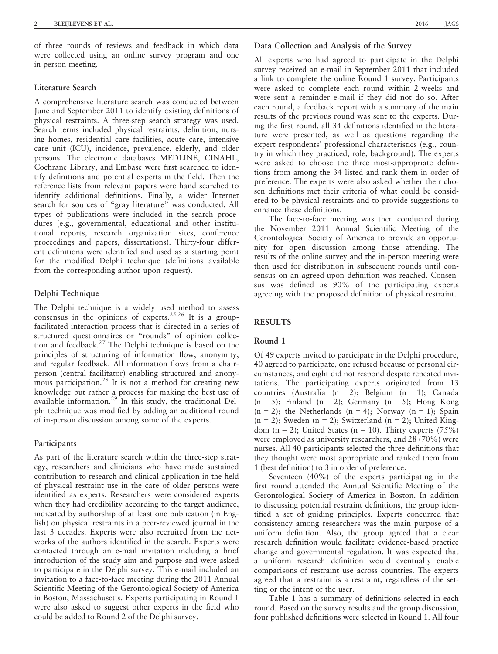of three rounds of reviews and feedback in which data were collected using an online survey program and one in-person meeting.

# Literature Search

A comprehensive literature search was conducted between June and September 2011 to identify existing definitions of physical restraints. A three-step search strategy was used. Search terms included physical restraints, definition, nursing homes, residential care facilities, acute care, intensive care unit (ICU), incidence, prevalence, elderly, and older persons. The electronic databases MEDLINE, CINAHL, Cochrane Library, and Embase were first searched to identify definitions and potential experts in the field. Then the reference lists from relevant papers were hand searched to identify additional definitions. Finally, a wider Internet search for sources of "gray literature" was conducted. All types of publications were included in the search procedures (e.g., governmental, educational and other institutional reports, research organization sites, conference proceedings and papers, dissertations). Thirty-four different definitions were identified and used as a starting point for the modified Delphi technique (definitions available from the corresponding author upon request).

#### Delphi Technique

The Delphi technique is a widely used method to assess consensus in the opinions of experts.<sup>25,26</sup> It is a groupfacilitated interaction process that is directed in a series of structured questionnaires or "rounds" of opinion collection and feedback.27 The Delphi technique is based on the principles of structuring of information flow, anonymity, and regular feedback. All information flows from a chairperson (central facilitator) enabling structured and anonymous participation.<sup>28</sup> It is not a method for creating new knowledge but rather a process for making the best use of available information.<sup>29</sup> In this study, the traditional Delphi technique was modified by adding an additional round of in-person discussion among some of the experts.

# Participants

As part of the literature search within the three-step strategy, researchers and clinicians who have made sustained contribution to research and clinical application in the field of physical restraint use in the care of older persons were identified as experts. Researchers were considered experts when they had credibility according to the target audience, indicated by authorship of at least one publication (in English) on physical restraints in a peer-reviewed journal in the last 3 decades. Experts were also recruited from the networks of the authors identified in the search. Experts were contacted through an e-mail invitation including a brief introduction of the study aim and purpose and were asked to participate in the Delphi survey. This e-mail included an invitation to a face-to-face meeting during the 2011 Annual Scientific Meeting of the Gerontological Society of America in Boston, Massachusetts. Experts participating in Round 1 were also asked to suggest other experts in the field who could be added to Round 2 of the Delphi survey.

# Data Collection and Analysis of the Survey

All experts who had agreed to participate in the Delphi survey received an e-mail in September 2011 that included a link to complete the online Round 1 survey. Participants were asked to complete each round within 2 weeks and were sent a reminder e-mail if they did not do so. After each round, a feedback report with a summary of the main results of the previous round was sent to the experts. During the first round, all 34 definitions identified in the literature were presented, as well as questions regarding the expert respondents' professional characteristics (e.g., country in which they practiced, role, background). The experts were asked to choose the three most-appropriate definitions from among the 34 listed and rank them in order of preference. The experts were also asked whether their chosen definitions met their criteria of what could be considered to be physical restraints and to provide suggestions to enhance these definitions.

The face-to-face meeting was then conducted during the November 2011 Annual Scientific Meeting of the Gerontological Society of America to provide an opportunity for open discussion among those attending. The results of the online survey and the in-person meeting were then used for distribution in subsequent rounds until consensus on an agreed-upon definition was reached. Consensus was defined as 90% of the participating experts agreeing with the proposed definition of physical restraint.

# **RESULTS**

#### Round 1

Of 49 experts invited to participate in the Delphi procedure, 40 agreed to participate, one refused because of personal circumstances, and eight did not respond despite repeated invitations. The participating experts originated from 13 countries (Australia  $(n = 2)$ ; Belgium  $(n = 1)$ ; Canada  $(n = 5)$ ; Finland  $(n = 2)$ ; Germany  $(n = 5)$ ; Hong Kong  $(n = 2)$ ; the Netherlands  $(n = 4)$ ; Norway  $(n = 1)$ ; Spain  $(n = 2)$ ; Sweden  $(n = 2)$ ; Switzerland  $(n = 2)$ ; United Kingdom  $(n = 2)$ ; United States  $(n = 10)$ . Thirty experts (75%) were employed as university researchers, and 28 (70%) were nurses. All 40 participants selected the three definitions that they thought were most appropriate and ranked them from 1 (best definition) to 3 in order of preference.

Seventeen (40%) of the experts participating in the first round attended the Annual Scientific Meeting of the Gerontological Society of America in Boston. In addition to discussing potential restraint definitions, the group identified a set of guiding principles. Experts concurred that consistency among researchers was the main purpose of a uniform definition. Also, the group agreed that a clear research definition would facilitate evidence-based practice change and governmental regulation. It was expected that a uniform research definition would eventually enable comparisons of restraint use across countries. The experts agreed that a restraint is a restraint, regardless of the setting or the intent of the user.

Table 1 has a summary of definitions selected in each round. Based on the survey results and the group discussion, four published definitions were selected in Round 1. All four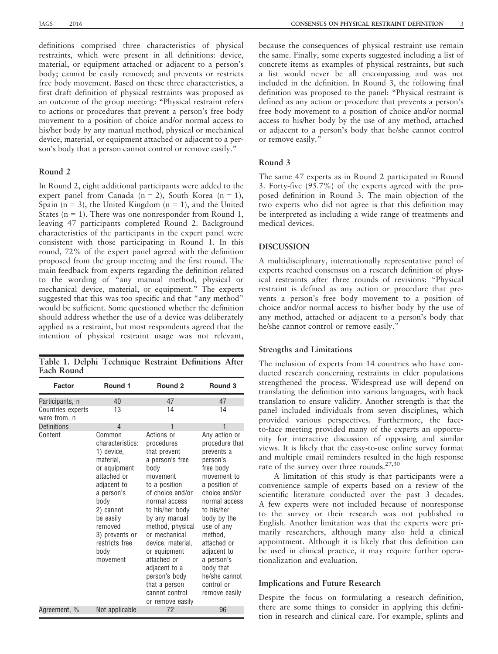definitions comprised three characteristics of physical restraints, which were present in all definitions: device, material, or equipment attached or adjacent to a person's body; cannot be easily removed; and prevents or restricts free body movement. Based on these three characteristics, a first draft definition of physical restraints was proposed as an outcome of the group meeting: "Physical restraint refers to actions or procedures that prevent a person's free body movement to a position of choice and/or normal access to his/her body by any manual method, physical or mechanical device, material, or equipment attached or adjacent to a person's body that a person cannot control or remove easily."

#### Round 2

In Round 2, eight additional participants were added to the expert panel from Canada (n = 2), South Korea (n = 1), Spain ( $n = 3$ ), the United Kingdom ( $n = 1$ ), and the United States ( $n = 1$ ). There was one nonresponder from Round 1, leaving 47 participants completed Round 2. Background characteristics of the participants in the expert panel were consistent with those participating in Round 1. In this round, 72% of the expert panel agreed with the definition proposed from the group meeting and the first round. The main feedback from experts regarding the definition related to the wording of "any manual method, physical or mechanical device, material, or equipment." The experts suggested that this was too specific and that "any method" would be sufficient. Some questioned whether the definition should address whether the use of a device was deliberately applied as a restraint, but most respondents agreed that the intention of physical restraint usage was not relevant,

Table 1. Delphi Technique Restraint Definitions After Each Round

| Factor                                   | Round 1                                                                                                                                                                                                                | Round <sub>2</sub>                                                                                                                                                                                                                                                                                                                                          | Round 3                                                                                                                                                                                                                                                                                                 |
|------------------------------------------|------------------------------------------------------------------------------------------------------------------------------------------------------------------------------------------------------------------------|-------------------------------------------------------------------------------------------------------------------------------------------------------------------------------------------------------------------------------------------------------------------------------------------------------------------------------------------------------------|---------------------------------------------------------------------------------------------------------------------------------------------------------------------------------------------------------------------------------------------------------------------------------------------------------|
| Participants, n                          | 40                                                                                                                                                                                                                     | 47                                                                                                                                                                                                                                                                                                                                                          | 47                                                                                                                                                                                                                                                                                                      |
| <b>Countries experts</b><br>were from, n | 13                                                                                                                                                                                                                     | 14                                                                                                                                                                                                                                                                                                                                                          | 14                                                                                                                                                                                                                                                                                                      |
| <b>Definitions</b>                       | 4                                                                                                                                                                                                                      | 1                                                                                                                                                                                                                                                                                                                                                           | 1                                                                                                                                                                                                                                                                                                       |
| Content                                  | Common<br>characteristics:<br>1) device,<br>material,<br>or equipment<br>attached or<br>adjacent to<br>a person's<br>body<br>2) cannot<br>be easily<br>removed<br>3) prevents or<br>restricts free<br>body<br>movement | Actions or<br>procedures<br>that prevent<br>a person's free<br>body<br>movement<br>to a position<br>of choice and/or<br>normal access<br>to his/her body<br>by any manual<br>method, physical<br>or mechanical<br>device, material,<br>or equipment<br>attached or<br>adjacent to a<br>person's body<br>that a person<br>cannot control<br>or remove easily | Any action or<br>procedure that<br>prevents a<br>person's<br>free body<br>movement to<br>a position of<br>choice and/or<br>normal access<br>to his/her<br>body by the<br>use of any<br>method.<br>attached or<br>adjacent to<br>a person's<br>body that<br>he/she cannot<br>control or<br>remove easily |
| Agreement, %                             | Not applicable                                                                                                                                                                                                         | 72                                                                                                                                                                                                                                                                                                                                                          | 96                                                                                                                                                                                                                                                                                                      |

because the consequences of physical restraint use remain the same. Finally, some experts suggested including a list of concrete items as examples of physical restraints, but such a list would never be all encompassing and was not included in the definition. In Round 3, the following final definition was proposed to the panel: "Physical restraint is defined as any action or procedure that prevents a person's free body movement to a position of choice and/or normal access to his/her body by the use of any method, attached or adjacent to a person's body that he/she cannot control or remove easily."

## Round 3

The same 47 experts as in Round 2 participated in Round 3. Forty-five (95.7%) of the experts agreed with the proposed definition in Round 3. The main objection of the two experts who did not agree is that this definition may be interpreted as including a wide range of treatments and medical devices.

#### DISCUSSION

A multidisciplinary, internationally representative panel of experts reached consensus on a research definition of physical restraints after three rounds of revisions: "Physical restraint is defined as any action or procedure that prevents a person's free body movement to a position of choice and/or normal access to his/her body by the use of any method, attached or adjacent to a person's body that he/she cannot control or remove easily."

#### Strengths and Limitations

The inclusion of experts from 14 countries who have conducted research concerning restraints in elder populations strengthened the process. Widespread use will depend on translating the definition into various languages, with back translation to ensure validity. Another strength is that the panel included individuals from seven disciplines, which provided various perspectives. Furthermore, the faceto-face meeting provided many of the experts an opportunity for interactive discussion of opposing and similar views. It is likely that the easy-to-use online survey format and multiple email reminders resulted in the high response rate of the survey over three rounds.<sup>27,30</sup>

A limitation of this study is that participants were a convenience sample of experts based on a review of the scientific literature conducted over the past 3 decades. A few experts were not included because of nonresponse to the survey or their research was not published in English. Another limitation was that the experts were primarily researchers, although many also held a clinical appointment. Although it is likely that this definition can be used in clinical practice, it may require further operationalization and evaluation.

#### Implications and Future Research

Despite the focus on formulating a research definition, there are some things to consider in applying this definition in research and clinical care. For example, splints and